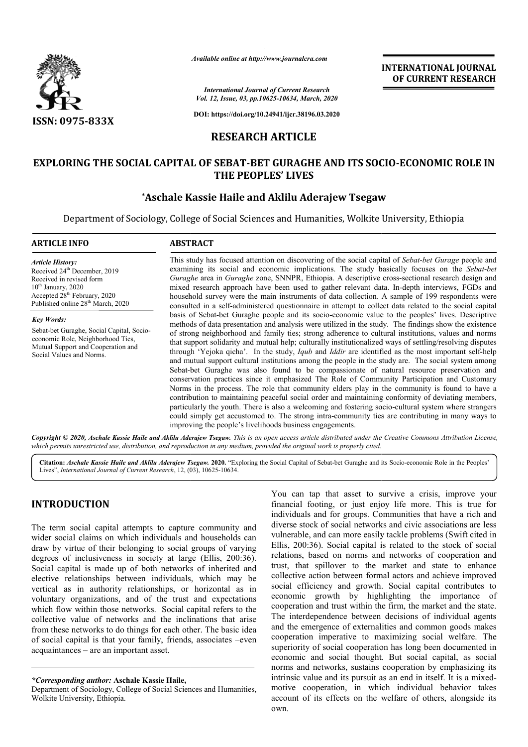

*Available online at http://www.journalcra.com*

**INTERNATIONAL JOURNAL OF CURRENT RESEARCH**

*International Journal of Current Research Vol. 12, Issue, 03, pp.10625-10634, March, 2020*

**DOI: https://doi.org/10.24941/ijcr.38196.03.2020**

## **RESEARCH ARTICLE**

# **EXPLORING THE SOCIAL CAPITAL OF SEBAT-BET GURAGHE AND ITS SOCIO BET ITS SOCIO-ECONOMIC ROLE IN THE PEOPLES' LIVES**

# **\*Aschale Kassie Haile and Aklilu Aderajew Tsegaw Aschale Aschale Tsegaw**

Department of Sociology, College of Social Sciences and Humanities, Wolkite University, Ethiopia

#### **ARTICLE INFO ABSTRACT** This study has focused attention on discovering of the social capital of Sebat-bet Gurage people and *Article History:* Received 24<sup>th</sup> December, 2019 Received in revised form  $10^{\text{th}}$  January, 2020 Accepted 28<sup>th</sup> February, 2020 Published online 28<sup>th</sup> March, 2020

*Key Words:*

Sebat-bet Guraghe, Social Capital, Socioeconomic Role, Neighborhood Ties, Mutual Support and Cooperation and Social Values and Norms.

examining its social and economic implications. The study basically focuses on the *Sebat-bet*  Guraghe area in *Guraghe* zone, SNNPR, Ethiopia. A descriptive cross-sectional research design and mixed research approach have been used to gather relevant data. In-depth interviews, FGDs and household survey were the main instruments of data collection. A sample of 199 respondents were consulted in a self-administered questionnaire in attempt to collect data related to the social capital basis of Sebat Sebat-bet Guraghe people and its socio-economic value to the peoples' lives. Descriptive methods of data presentation and analysis were utilized in the study. The findings show the existence of strong neighborhood and family ties; strong adherence to cultural institutions, values and norms that support solidarity and mutual help; culturally institutionalized ways of settling/resol through 'Yejoka qicha'. In the study, *Iqub* and *Iddir* are identified as the most important self-help and mutual support cultural institutions among the people in the study are. The social system among Sebat-bet Guraghe was also found to be compassionate of natural resource preservation and conservation practices since it emphasized The Role of Community Participation and Customary Norms in the process. The role that community elders play in the community is found to have a contribution to maintaining peaceful social order and maintaining conformity of deviating members, particularly the youth. There is also a welcoming and fostering socio-cultural system where strangers could simply get accustomed to. The strong intra-community ties are contributing in many ways to improving the people's livelihoods business engagements. administered questionnaire in attempt to collect data related to the social capital Guraghe people and its socio-economic value to the peoples' lives. Descriptive sentation and analysis were utilized in the study. The find and mutual support cultural institutions among the people in the study are. The social system among Sebat-bet Guraghe was also found to be compassionate of natural resource preservation and conservation practices since it

Copyright © 2020, Aschale Kassie Haile and Aklilu Aderajew Tsegaw. This is an open access article distributed under the Creative Commons Attribution License, which permits unrestricted use, distribution, and reproduction in any medium, provided the original work is properly cited.

Citation: Aschale Kassie Haile and Aklilu Aderajew Tsegaw. 2020. "Exploring the Social Capital of Sebat-bet Guraghe and its Socio-economic Role in the Peoples' Lives", *International Journal of Current Research*, 12, (03 03), 10625-10634.

# **INTRODUCTION**

The term social capital attempts to capture community and wider social claims on which individuals and households can draw by virtue of their belonging to social groups of varying degrees of inclusiveness in society at large (Ellis, 200:36). Social capital is made up of both networks of inherited and elective relationships between individuals, which may be vertical as in authority relationships, or horizontal as in voluntary organizations, and of the trust and expectations which flow within those networks. Social capital refers to the collective value of networks and the inclinations that arise from these networks to do things for each other. The basic idea of social capital is that your family, friends, associates –even acquaintances – are an important asset.

You can tap that asset to survive a crisis, improve your You can tap that asset to survive a crisis, improve your financial footing, or just enjoy life more. This is true for individuals and for groups. Communities that have a rich and diverse stock of social networks and civic associations are less vulnerable, and can more easily tackle problems (Swift cited in Ellis, 200:36). Social capital is related to the stock of social relations, based on norms and networks of cooperation and trust, that spillover to the market and state to enhance collective action between formal actors and achieve improved social efficiency and growth. Social capital contributes to economic growth by highlighting the importance of cooperation and trust within the firm, the market and the state. The interdependence between decisions of individual agents and the emergence of externalities and common goods makes cooperation imperative to maximizing social welfare. The superiority of social cooperation has long been documented in economic and social thought. But social capital, as social norms and networks, sustains cooperation by emphasizing its intrinsic value and its pursuit as an end in itself. It is a mixedmotive cooperation, in which individual behavior takes account of its effects on the welfare of others, alongside its own. ties that have a rich and<br>ivic associations are less<br>problems (Swift cited in<br>d to the stock of social ions, based on norms and networks of cooperation and<br>
, that spillover to the market and state to enhance<br>
cetive action between formal actors and achieve improved<br>
all efficiency and growth. Social capital contributes to<br> superiority of social cooperation has long been documented in<br>economic and social thought. But social capital, as social<br>norms and networks, sustains cooperation by emphasizing its<br>intrinsic value and its pursuit as an end **INTERNATIONAL FOUNDAL CONSUMPLEMENT (CONTROVERTO CONTROVERTO (CONTROVERTO)**<br> **INTERNATIONAL CONSUMPLEMENT RESEARCH**<br> **CONSUMPLEMENT RESEARCH**<br> **CONSUMPLEMENT RESEARCH**<br> **CONSUMPLEMENT (CONSUMPLEMENT (CONSUMPLEMENT (CONSU** 

*<sup>\*</sup>Corresponding author:* **Aschale Kassie Haile,**

Department of Sociology, College of Social Sciences and Humanities, Wolkite University, Ethiopia.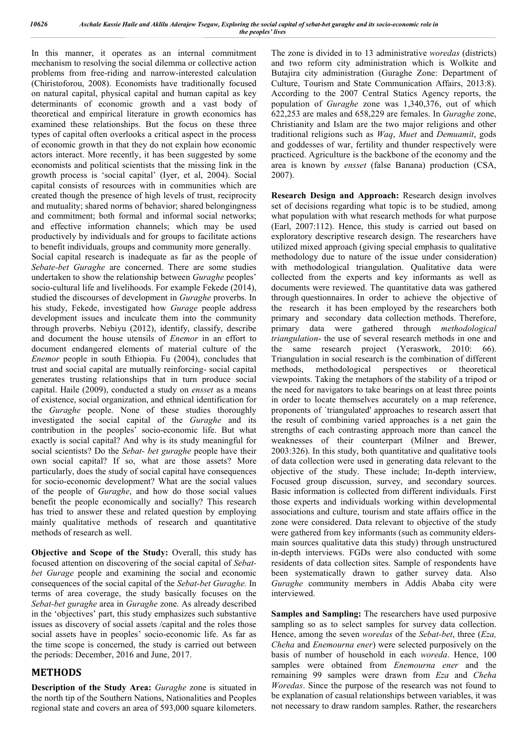In this manner, it operates as an internal commitment mechanism to resolving the social dilemma or collective action problems from free-riding and narrow-interested calculation (Chiristoforou, 2008). Economists have traditionally focused on natural capital, physical capital and human capital as key determinants of economic growth and a vast body of theoretical and empirical literature in growth economics has examined these relationships. But the focus on these three types of capital often overlooks a critical aspect in the process of economic growth in that they do not explain how economic actors interact. More recently, it has been suggested by some economists and political scientists that the missing link in the growth process is 'social capital' (Iyer, et al, 2004). Social capital consists of resources with in communities which are created though the presence of high levels of trust, reciprocity and mutuality; shared norms of behavior; shared belongingness and commitment; both formal and informal social networks; and effective information channels; which may be used productively by individuals and for groups to facilitate actions to benefit individuals, groups and community more generally. Social capital research is inadequate as far as the people of *Sebate-bet Guraghe* are concerned. There are some studies undertaken to show the relationship between *Guraghe* peoples' socio-cultural life and livelihoods. For example Fekede (2014), studied the discourses of development in *Guraghe* proverbs. In his study, Fekede, investigated how *Gurage* people address development issues and inculcate them into the community through proverbs. Nebiyu (2012), identify, classify, describe and document the house utensils of *Enemor* in an effort to document endangered elements of material culture of the *Enemor* people in south Ethiopia. Fu (2004), concludes that trust and social capital are mutually reinforcing- social capital generates trusting relationships that in turn produce social capital. Haile (2009), conducted a study on *ensset* as a means of existence, social organization, and ethnical identification for the *Guraghe* people. None of these studies thoroughly investigated the social capital of the *Guraghe* and its contribution in the peoples' socio-economic life. But what exactly is social capital? And why is its study meaningful for social scientists? Do the *Sebat- bet guraghe* people have their own social capital? If so, what are those assets? More particularly, does the study of social capital have consequences for socio-economic development? What are the social values of the people of *Guraghe*, and how do those social values benefit the people economically and socially? This research has tried to answer these and related question by employing mainly qualitative methods of research and quantitative methods of research as well.

**Objective and Scope of the Study:** Overall, this study has focused attention on discovering of the social capital of *Sebatbet Gurage* people and examining the social and economic consequences of the social capital of the *Sebat-bet Guraghe.* In terms of area coverage, the study basically focuses on the *Sebat-bet guraghe* area in *Guraghe* zone. As already described in the 'objectives' part, this study emphasizes such substantive issues as discovery of social assets /capital and the roles those social assets have in peoples' socio-economic life. As far as the time scope is concerned, the study is carried out between the periods: December, 2016 and June, 2017.

### **METHODS**

**Description of the Study Area:** *Guraghe* zone is situated in the north tip of the Southern Nations, Nationalities and Peoples regional state and covers an area of 593,000 square kilometers.

The zone is divided in to 13 administrative *woredas* (districts) and two reform city administration which is Wolkite and Butajira city administration (Guraghe Zone: Department of Culture, Tourism and State Communication Affairs, 2013:8). According to the 2007 Central Statics Agency reports, the population of *Guraghe* zone was 1,340,376, out of which 622,253 are males and 658,229 are females. In *Guraghe* zone, Christianity and Islam are the two major religions and other traditional religions such as *Waq*, *Muet* and *Demuamit*, gods and goddesses of war, fertility and thunder respectively were practiced. Agriculture is the backbone of the economy and the area is known by *ensset* (false Banana) production (CSA, 2007).

**Research Design and Approach:** Research design involves set of decisions regarding what topic is to be studied, among what population with what research methods for what purpose (Earl, 2007:112). Hence, this study is carried out based on exploratory descriptive research design. The researchers have utilized mixed approach (giving special emphasis to qualitative methodology due to nature of the issue under consideration) with methodological triangulation. Qualitative data were collected from the experts and key informants as well as documents were reviewed. The quantitative data was gathered through questionnaires. In order to achieve the objective of the research it has been employed by the researchers both primary and secondary data collection methods. Therefore, primary data were gathered through *methodological triangulation*- the use of several research methods in one and the same research project (Yeraswork, 2010: 66). Triangulation in social research is the combination of different<br>methods, methodological perspectives or theoretical methods, methodological perspectives or theoretical viewpoints. Taking the metaphors of the stability of a tripod or the need for navigators to take bearings on at least three points in order to locate themselves accurately on a map reference, proponents of `triangulated' approaches to research assert that the result of combining varied approaches is a net gain the strengths of each contrasting approach more than cancel the weaknesses of their counterpart (Milner and Brewer, 2003:326). In this study, both quantitative and qualitative tools of data collection were used in generating data relevant to the objective of the study. These include; In-depth interview, Focused group discussion, survey, and secondary sources. Basic information is collected from different individuals. First those experts and individuals working within developmental associations and culture, tourism and state affairs office in the zone were considered. Data relevant to objective of the study were gathered from key informants (such as community eldersmain sources qualitative data this study) through unstructured in-depth interviews. FGDs were also conducted with some residents of data collection sites. Sample of respondents have been systematically drawn to gather survey data. Also *Guraghe* community members in Addis Ababa city were interviewed.

**Samples and Sampling:** The researchers have used purposive sampling so as to select samples for survey data collection. Hence, among the seven *woredas* of the *Sebat-bet*, three (*Eza, Cheha* and *Enemourna ener*) were selected purposively on the basis of number of household in each *woreda*. Hence, 100 samples were obtained from *Enemourna ener* and the remaining 99 samples were drawn from *Eza* and *Cheha Woredas*. Since the purpose of the research was not found to be explanation of casual relationships between variables, it was not necessary to draw random samples. Rather, the researchers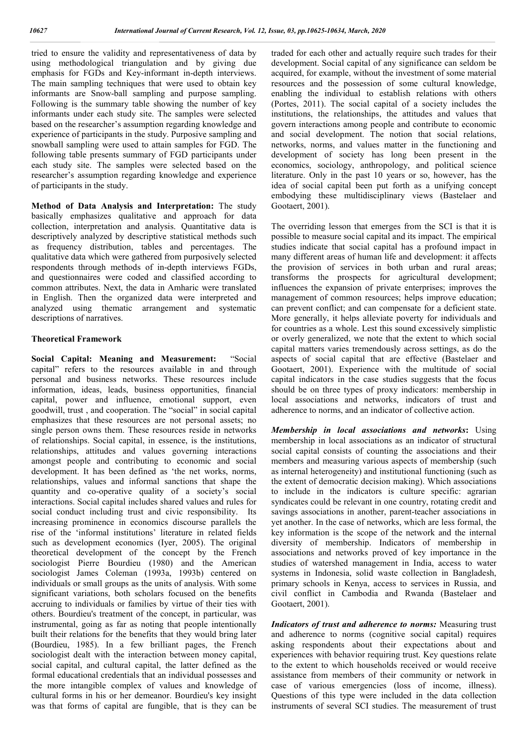tried to ensure the validity and representativeness of data by using methodological triangulation and by giving due emphasis for FGDs and Key-informant in-depth interviews. The main sampling techniques that were used to obtain key informants are Snow-ball sampling and purpose sampling. Following is the summary table showing the number of key informants under each study site. The samples were selected based on the researcher's assumption regarding knowledge and experience of participants in the study. Purposive sampling and snowball sampling were used to attain samples for FGD. The following table presents summary of FGD participants under each study site. The samples were selected based on the researcher's assumption regarding knowledge and experience of participants in the study.

**Method of Data Analysis and Interpretation:** The study basically emphasizes qualitative and approach for data collection, interpretation and analysis. Quantitative data is descriptively analyzed by descriptive statistical methods such as frequency distribution, tables and percentages. The qualitative data which were gathered from purposively selected respondents through methods of in-depth interviews FGDs, and questionnaires were coded and classified according to common attributes. Next, the data in Amharic were translated in English. Then the organized data were interpreted and analyzed using thematic arrangement and systematic descriptions of narratives.

#### **Theoretical Framework**

**Social Capital: Meaning and Measurement:** "Social capital" refers to the resources available in and through personal and business networks. These resources include information, ideas, leads, business opportunities, financial capital, power and influence, emotional support, even goodwill, trust , and cooperation. The "social" in social capital emphasizes that these resources are not personal assets; no single person owns them. These resources reside in networks of relationships. Social capital, in essence, is the institutions, relationships, attitudes and values governing interactions amongst people and contributing to economic and social development. It has been defined as 'the net works, norms, relationships, values and informal sanctions that shape the quantity and co-operative quality of a society's social interactions. Social capital includes shared values and rules for social conduct including trust and civic responsibility. Its increasing prominence in economics discourse parallels the rise of the 'informal institutions' literature in related fields such as development economics (Iyer, 2005). The original theoretical development of the concept by the French sociologist Pierre Bourdieu (1980) and the American sociologist James Coleman (1993a, 1993b) centered on individuals or small groups as the units of analysis. With some significant variations, both scholars focused on the benefits accruing to individuals or families by virtue of their ties with others. Bourdieu's treatment of the concept, in particular, was instrumental, going as far as noting that people intentionally built their relations for the benefits that they would bring later (Bourdieu, 1985). In a few brilliant pages, the French sociologist dealt with the interaction between money capital, social capital, and cultural capital, the latter defined as the formal educational credentials that an individual possesses and the more intangible complex of values and knowledge of cultural forms in his or her demeanor. Bourdieu's key insight was that forms of capital are fungible, that is they can be

traded for each other and actually require such trades for their development. Social capital of any significance can seldom be acquired, for example, without the investment of some material resources and the possession of some cultural knowledge, enabling the individual to establish relations with others (Portes, 2011). The social capital of a society includes the institutions, the relationships, the attitudes and values that govern interactions among people and contribute to economic and social development. The notion that social relations, networks, norms, and values matter in the functioning and development of society has long been present in the economics, sociology, anthropology, and political science literature. Only in the past 10 years or so, however, has the idea of social capital been put forth as a unifying concept embodying these multidisciplinary views (Bastelaer and Gootaert, 2001).

The overriding lesson that emerges from the SCI is that it is possible to measure social capital and its impact. The empirical studies indicate that social capital has a profound impact in many different areas of human life and development: it affects the provision of services in both urban and rural areas; transforms the prospects for agricultural development; influences the expansion of private enterprises; improves the management of common resources; helps improve education; can prevent conflict; and can compensate for a deficient state. More generally, it helps alleviate poverty for individuals and for countries as a whole. Lest this sound excessively simplistic or overly generalized, we note that the extent to which social capital matters varies tremendously across settings, as do the aspects of social capital that are effective (Bastelaer and Gootaert, 2001). Experience with the multitude of social capital indicators in the case studies suggests that the focus should be on three types of proxy indicators: membership in local associations and networks, indicators of trust and adherence to norms, and an indicator of collective action.

*Membership in local associations and networks***:** Using membership in local associations as an indicator of structural social capital consists of counting the associations and their members and measuring various aspects of membership (such as internal heterogeneity) and institutional functioning (such as the extent of democratic decision making). Which associations to include in the indicators is culture specific: agrarian syndicates could be relevant in one country, rotating credit and savings associations in another, parent-teacher associations in yet another. In the case of networks, which are less formal, the key information is the scope of the network and the internal diversity of membership. Indicators of membership in associations and networks proved of key importance in the studies of watershed management in India, access to water systems in Indonesia, solid waste collection in Bangladesh, primary schools in Kenya, access to services in Russia, and civil conflict in Cambodia and Rwanda (Bastelaer and Gootaert, 2001).

*Indicators of trust and adherence to norms:* Measuring trust and adherence to norms (cognitive social capital) requires asking respondents about their expectations about and experiences with behavior requiring trust. Key questions relate to the extent to which households received or would receive assistance from members of their community or network in case of various emergencies (loss of income, illness). Questions of this type were included in the data collection instruments of several SCI studies. The measurement of trust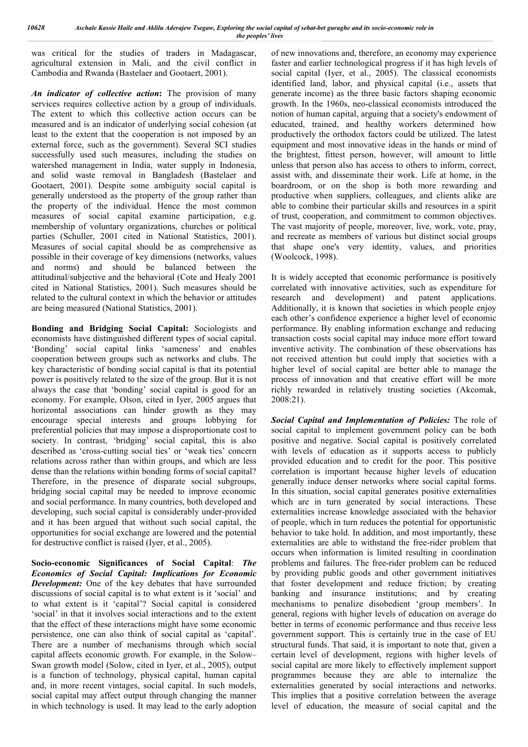was critical for the studies of traders in Madagascar, agricultural extension in Mali, and the civil conflict in Cambodia and Rwanda (Bastelaer and Gootaert, 2001).

*An indicator of collective action***:** The provision of many services requires collective action by a group of individuals. The extent to which this collective action occurs can be measured and is an indicator of underlying social cohesion (at least to the extent that the cooperation is not imposed by an external force, such as the government). Several SCI studies successfully used such measures, including the studies on watershed management in India, water supply in Indonesia, and solid waste removal in Bangladesh (Bastelaer and Gootaert, 2001). Despite some ambiguity social capital is generally understood as the property of the group rather than the property of the individual. Hence the most common measures of social capital examine participation, e.g. membership of voluntary organizations, churches or political parties (Schuller, 2001 cited in National Statistics, 2001). Measures of social capital should be as comprehensive as possible in their coverage of key dimensions (networks, values and norms) and should be balanced between the attitudinal/subjective and the behavioral (Cote and Healy 2001 cited in National Statistics, 2001). Such measures should be related to the cultural context in which the behavior or attitudes are being measured (National Statistics, 2001).

**Bonding and Bridging Social Capital:** Sociologists and economists have distinguished different types of social capital. 'Bonding' social capital links 'sameness' and enables cooperation between groups such as networks and clubs. The key characteristic of bonding social capital is that its potential power is positively related to the size of the group. But it is not always the case that 'bonding' social capital is good for an economy. For example, Olson, cited in Iyer, 2005 argues that horizontal associations can hinder growth as they may encourage special interests and groups lobbying for preferential policies that may impose a disproportionate cost to society. In contrast, 'bridging' social capital, this is also described as 'cross-cutting social ties' or 'weak ties' concern relations across rather than within groups, and which are less dense than the relations within bonding forms of social capital? Therefore, in the presence of disparate social subgroups, bridging social capital may be needed to improve economic and social performance. In many countries, both developed and developing, such social capital is considerably under-provided and it has been argued that without such social capital, the opportunities for social exchange are lowered and the potential for destructive conflict is raised (Iyer, et al., 2005).

**Socio-economic Significances of Social Capital**: *The Economics of Social Capital: Implications for Economic Development:* One of the key debates that have surrounded discussions of social capital is to what extent is it 'social' and to what extent is it 'capital'? Social capital is considered 'social' in that it involves social interactions and to the extent that the effect of these interactions might have some economic persistence, one can also think of social capital as 'capital'. There are a number of mechanisms through which social capital affects economic growth. For example, in the Solow– Swan growth model (Solow, cited in Iyer, et al., 2005), output is a function of technology, physical capital, human capital and, in more recent vintages, social capital. In such models, social capital may affect output through changing the manner in which technology is used. It may lead to the early adoption

of new innovations and, therefore, an economy may experience faster and earlier technological progress if it has high levels of social capital (Iyer, et al., 2005). The classical economists identified land, labor, and physical capital (i.e., assets that generate income) as the three basic factors shaping economic growth. In the 1960s, neo-classical economists introduced the notion of human capital, arguing that a society's endowment of educated, trained, and healthy workers determined how productively the orthodox factors could be utilized. The latest equipment and most innovative ideas in the hands or mind of the brightest, fittest person, however, will amount to little unless that person also has access to others to inform, correct, assist with, and disseminate their work. Life at home, in the boardroom, or on the shop is both more rewarding and productive when suppliers, colleagues, and clients alike are able to combine their particular skills and resources in a spirit of trust, cooperation, and commitment to common objectives. The vast majority of people, moreover, live, work, vote, pray, and recreate as members of various but distinct social groups that shape one's very identity, values, and priorities (Woolcock, 1998).

It is widely accepted that economic performance is positively correlated with innovative activities, such as expenditure for research and development) and patent applications. Additionally, it is known that societies in which people enjoy each other's confidence experience a higher level of economic performance. By enabling information exchange and reducing transaction costs social capital may induce more effort toward inventive activity. The combination of these observations has not received attention but could imply that societies with a higher level of social capital are better able to manage the process of innovation and that creative effort will be more richly rewarded in relatively trusting societies (Akcomak, 2008:21).

*Social Capital and Implementation of Policies:* The role of social capital to implement government policy can be both positive and negative. Social capital is positively correlated with levels of education as it supports access to publicly provided education and to credit for the poor. This positive correlation is important because higher levels of education generally induce denser networks where social capital forms. In this situation, social capital generates positive externalities which are in turn generated by social interactions. These externalities increase knowledge associated with the behavior of people, which in turn reduces the potential for opportunistic behavior to take hold. In addition, and most importantly, these externalities are able to withstand the free-rider problem that occurs when information is limited resulting in coordination problems and failures. The free-rider problem can be reduced by providing public goods and other government initiatives that foster development and reduce friction; by creating banking and insurance institutions; and by creating mechanisms to penalize disobedient 'group members'. In general, regions with higher levels of education on average do better in terms of economic performance and thus receive less government support. This is certainly true in the case of EU structural funds. That said, it is important to note that, given a certain level of development, regions with higher levels of social capital are more likely to effectively implement support programmes because they are able to internalize the externalities generated by social interactions and networks. This implies that a positive correlation between the average level of education, the measure of social capital and the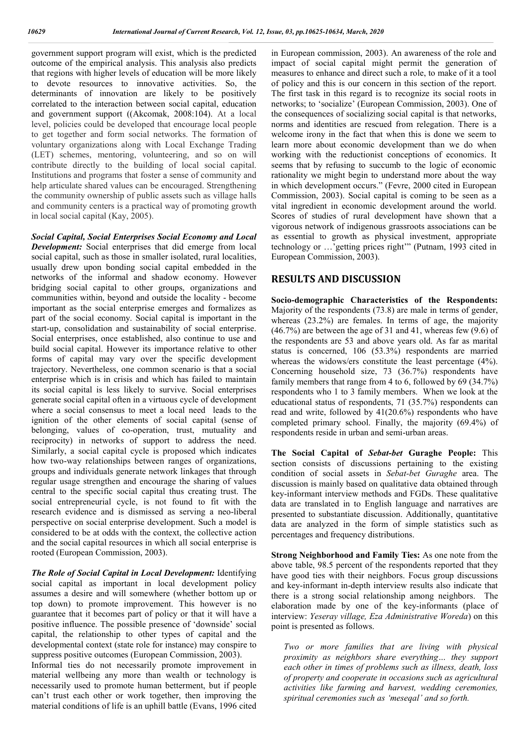government support program will exist, which is the predicted outcome of the empirical analysis. This analysis also predicts that regions with higher levels of education will be more likely to devote resources to innovative activities. So, the determinants of innovation are likely to be positively correlated to the interaction between social capital, education and government support ((Akcomak, 2008:104). At a local level, policies could be developed that encourage local people to get together and form social networks. The formation of voluntary organizations along with Local Exchange Trading (LET) schemes, mentoring, volunteering, and so on will contribute directly to the building of local social capital. Institutions and programs that foster a sense of community and help articulate shared values can be encouraged. Strengthening the community ownership of public assets such as village halls and community centers is a practical way of promoting growth in local social capital (Kay, 2005).

*Social Capital, Social Enterprises Social Economy and Local Development:* Social enterprises that did emerge from local social capital, such as those in smaller isolated, rural localities, usually drew upon bonding social capital embedded in the networks of the informal and shadow economy. However bridging social capital to other groups, organizations and communities within, beyond and outside the locality - become important as the social enterprise emerges and formalizes as part of the social economy. Social capital is important in the start-up, consolidation and sustainability of social enterprise. Social enterprises, once established, also continue to use and build social capital. However its importance relative to other forms of capital may vary over the specific development trajectory. Nevertheless, one common scenario is that a social enterprise which is in crisis and which has failed to maintain its social capital is less likely to survive. Social enterprises generate social capital often in a virtuous cycle of development where a social consensus to meet a local need leads to the ignition of the other elements of social capital (sense of belonging, values of co-operation, trust, mutuality and reciprocity) in networks of support to address the need. Similarly, a social capital cycle is proposed which indicates how two-way relationships between ranges of organizations, groups and individuals generate network linkages that through regular usage strengthen and encourage the sharing of values central to the specific social capital thus creating trust. The social entrepreneurial cycle, is not found to fit with the research evidence and is dismissed as serving a neo-liberal perspective on social enterprise development. Such a model is considered to be at odds with the context, the collective action and the social capital resources in which all social enterprise is rooted (European Commission, 2003).

*The Role of Social Capital in Local Development:* Identifying social capital as important in local development policy assumes a desire and will somewhere (whether bottom up or top down) to promote improvement. This however is no guarantee that it becomes part of policy or that it will have a positive influence. The possible presence of 'downside' social capital, the relationship to other types of capital and the developmental context (state role for instance) may conspire to suppress positive outcomes (European Commission, 2003).

Informal ties do not necessarily promote improvement in material wellbeing any more than wealth or technology is necessarily used to promote human betterment, but if people can't trust each other or work together, then improving the material conditions of life is an uphill battle (Evans, 1996 cited in European commission, 2003). An awareness of the role and impact of social capital might permit the generation of measures to enhance and direct such a role, to make of it a tool of policy and this is our concern in this section of the report. The first task in this regard is to recognize its social roots in networks; to 'socialize' (European Commission, 2003). One of the consequences of socializing social capital is that networks, norms and identities are rescued from relegation. There is a welcome irony in the fact that when this is done we seem to learn more about economic development than we do when working with the reductionist conceptions of economics. It seems that by refusing to succumb to the logic of economic rationality we might begin to understand more about the way in which development occurs." (Fevre, 2000 cited in European Commission, 2003). Social capital is coming to be seen as a vital ingredient in economic development around the world. Scores of studies of rural development have shown that a vigorous network of indigenous grassroots associations can be as essential to growth as physical investment, appropriate technology or …'getting prices right'" (Putnam, 1993 cited in European Commission, 2003).

### **RESULTS AND DISCUSSION**

**Socio-demographic Characteristics of the Respondents:**  Majority of the respondents (73.8) are male in terms of gender, whereas (23.2%) are females. In terms of age, the majority (46.7%) are between the age of 31 and 41, whereas few (9.6) of the respondents are 53 and above years old. As far as marital status is concerned, 106 (53.3%) respondents are married whereas the widows/ers constitute the least percentage (4%). Concerning household size, 73 (36.7%) respondents have family members that range from 4 to 6, followed by 69 (34.7%) respondents who 1 to 3 family members. When we look at the educational status of respondents, 71 (35.7%) respondents can read and write, followed by 41(20.6%) respondents who have completed primary school. Finally, the majority (69.4%) of respondents reside in urban and semi-urban areas.

**The Social Capital of** *Sebat-bet* **Guraghe People:** This section consists of discussions pertaining to the existing condition of social assets in *Sebat-bet Guraghe* area. The discussion is mainly based on qualitative data obtained through key-informant interview methods and FGDs. These qualitative data are translated in to English language and narratives are presented to substantiate discussion. Additionally, quantitative data are analyzed in the form of simple statistics such as percentages and frequency distributions.

**Strong Neighborhood and Family Ties:** As one note from the above table, 98.5 percent of the respondents reported that they have good ties with their neighbors. Focus group discussions and key-informant in-depth interview results also indicate that there is a strong social relationship among neighbors. The elaboration made by one of the key-informants (place of interview: *Yeseray village, Eza Administrative Woreda*) on this point is presented as follows.

*Two or more families that are living with physical proximity as neighbors share everything… they support each other in times of problems such as illness, death, loss of property and cooperate in occasions such as agricultural activities like farming and harvest, wedding ceremonies, spiritual ceremonies such as 'meseqal' and so forth.*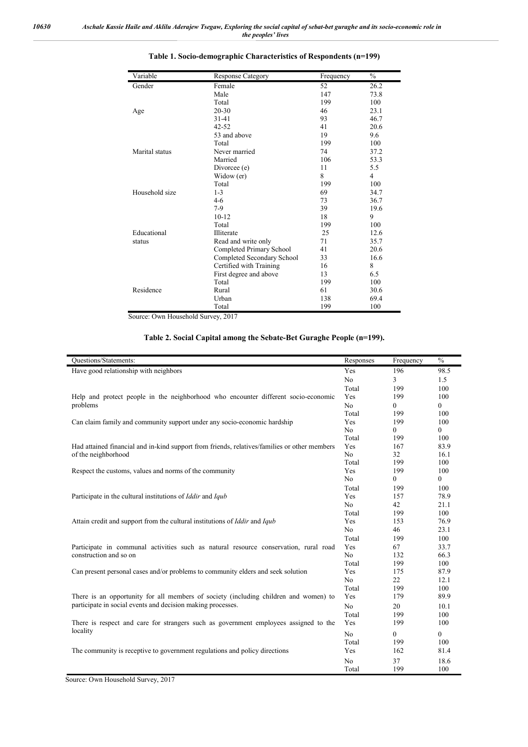| Variable       | <b>Response Category</b>   | Frequency | $\frac{0}{0}$  |
|----------------|----------------------------|-----------|----------------|
| Gender         | Female                     | 52        | 26.2           |
|                | Male                       | 147       | 73.8           |
|                | Total                      | 199       | 100            |
| Age            | $20 - 30$                  | 46        | 23.1           |
|                | 31-41                      | 93        | 46.7           |
|                | $42 - 52$                  | 41        | 20.6           |
|                | 53 and above               | 19        | 9.6            |
|                | Total                      | 199       | 100            |
| Marital status | Never married              | 74        | 37.2           |
|                | Married                    | 106       | 53.3           |
|                | Divorcee (e)               | 11        | 5.5            |
|                | Widow (er)                 | 8         | $\overline{4}$ |
|                | Total                      | 199       | 100            |
| Household size | $1 - 3$                    | 69        | 34.7           |
|                | 4-6                        | 73        | 36.7           |
|                | $7-9$                      | 39        | 19.6           |
|                | $10 - 12$                  | 18        | 9              |
|                | Total                      | 199       | 100            |
| Educational    | Illiterate                 | 25        | 12.6           |
| status         | Read and write only        | 71        | 35.7           |
|                | Completed Primary School   | 41        | 20.6           |
|                | Completed Secondary School | 33        | 16.6           |
|                | Certified with Training    | 16        | 8              |
|                | First degree and above     | 13        | 6.5            |
|                | Total                      | 199       | 100            |
| Residence      | Rural                      | 61        | 30.6           |
|                | Urban                      | 138       | 69.4           |
|                | Total                      | 199       | 100            |

### **Table 1. Socio-demographic Characteristics of Respondents (n=199)**

Source: Own Household Survey, 2017

### **Table 2. Social Capital among the Sebate-Bet Guraghe People (n=199).**

| Questions/Statements:                                                                        | Responses      | Frequency | $\frac{0}{0}$    |
|----------------------------------------------------------------------------------------------|----------------|-----------|------------------|
| Have good relationship with neighbors                                                        | Yes            | 196       | 98.5             |
|                                                                                              | N <sub>o</sub> | 3         | 1.5              |
|                                                                                              | Total          | 199       | 100              |
| Help and protect people in the neighborhood who encounter different socio-economic           | Yes            | 199       | 100              |
| problems                                                                                     | No             | 0         | $\overline{0}$   |
|                                                                                              | Total          | 199       | 100              |
| Can claim family and community support under any socio-economic hardship                     | Yes            | 199       | 100              |
|                                                                                              | No             | 0         | $\boldsymbol{0}$ |
|                                                                                              | Total          | 199       | 100              |
| Had attained financial and in-kind support from friends, relatives/families or other members |                | 167       | 83.9             |
| of the neighborhood                                                                          | No             | 32        | 16.1             |
|                                                                                              | Total          | 199       | 100              |
| Respect the customs, values and norms of the community                                       | Yes            | 199       | 100              |
|                                                                                              | No             | 0         | $\mathbf{0}$     |
|                                                                                              | Total          | 199       | 100              |
| Participate in the cultural institutions of <i>Iddir</i> and <i>Iqub</i>                     | Yes            | 157       | 78.9             |
|                                                                                              | N <sub>o</sub> | 42        | 21.1             |
|                                                                                              | Total          | 199       | 100              |
| Attain credit and support from the cultural institutions of <i>Iddir</i> and <i>Iqub</i>     | Yes            | 153       | 76.9             |
|                                                                                              | No             | 46        | 23.1             |
|                                                                                              | Total          | 199       | 100              |
| Participate in communal activities such as natural resource conservation, rural road         | Yes            | 67        | 33.7             |
| construction and so on                                                                       | No             | 132       | 66.3             |
|                                                                                              | Total          | 199       | 100              |
| Can present personal cases and/or problems to community elders and seek solution             | Yes            | 175       | 87.9             |
|                                                                                              | No             | 22        | 12.1             |
|                                                                                              | Total          | 199       | 100              |
| There is an opportunity for all members of society (including children and women) to         | Yes            | 179       | 89.9             |
| participate in social events and decision making processes.                                  | N <sub>o</sub> | 20        | 10.1             |
|                                                                                              | Total          | 199       | 100              |
| There is respect and care for strangers such as government employees assigned to the         | Yes            | 199       | 100              |
| locality                                                                                     | No             | 0         | $\boldsymbol{0}$ |
|                                                                                              | Total          | 199       | 100              |
| The community is receptive to government regulations and policy directions                   | Yes            | 162       | 81.4             |
|                                                                                              | No             | 37        | 18.6             |
|                                                                                              | Total          | 199       | 100              |

Source: Own Household Survey, 2017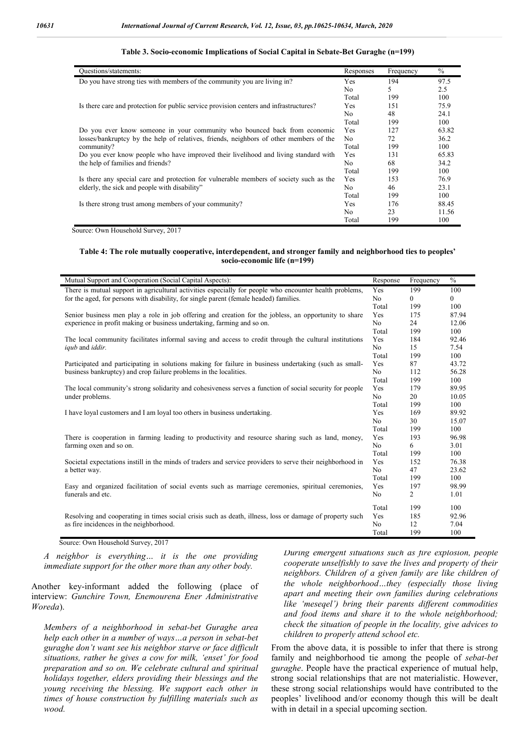| Questions/statements:                                                                  | Responses      | Frequency | $\%$  |
|----------------------------------------------------------------------------------------|----------------|-----------|-------|
| Do you have strong ties with members of the community you are living in?               | <b>Yes</b>     | 194       | 97.5  |
|                                                                                        | N <sub>0</sub> | 5.        | 2.5   |
|                                                                                        | Total          | 199       | 100   |
| Is there care and protection for public service provision centers and infrastructures? | Yes            | 151       | 75.9  |
|                                                                                        | N <sub>0</sub> | 48        | 24.1  |
|                                                                                        | Total          | 199       | 100   |
| Do you ever know someone in your community who bounced back from economic              | <b>Yes</b>     | 127       | 63.82 |
| losses/bankruptcy by the help of relatives, friends, neighbors of other members of the | No             | 72        | 36.2  |
| community?                                                                             | Total          | 199       | 100   |
| Do you ever know people who have improved their livelihood and living standard with    | <b>Yes</b>     | 131       | 65.83 |
| the help of families and friends?                                                      | N <sub>o</sub> | 68        | 34.2  |
|                                                                                        | Total          | 199       | 100   |
| Is there any special care and protection for vulnerable members of society such as the | <b>Yes</b>     | 153       | 76.9  |
| elderly, the sick and people with disability"                                          | N <sub>0</sub> | 46        | 23.1  |
|                                                                                        | Total          | 199       | 100   |
| Is there strong trust among members of your community?                                 | Yes            | 176       | 88.45 |
|                                                                                        | N <sub>0</sub> | 23        | 11.56 |
|                                                                                        | Total          | 199       | 100   |

#### **Table 3. Socio-economic Implications of Social Capital in Sebate-Bet Guraghe (n=199)**

Source: Own Household Survey, 2017

#### **Table 4: The role mutually cooperative, interdependent, and stronger family and neighborhood ties to peoples' socio-economic life (n=199)**

| Mutual Support and Cooperation (Social Capital Aspects):                                                   | Response       | Frequency | $\%$     |
|------------------------------------------------------------------------------------------------------------|----------------|-----------|----------|
| There is mutual support in agricultural activities especially for people who encounter health problems,    | Yes            | 199       | 100      |
| for the aged, for persons with disability, for single parent (female headed) families.                     | No.            | 0         | $\Omega$ |
|                                                                                                            |                | 199       | 100      |
| Senior business men play a role in job offering and creation for the jobless, an opportunity to share      |                | 175       | 87.94    |
| experience in profit making or business undertaking, farming and so on.                                    | N <sub>o</sub> | 24        | 12.06    |
|                                                                                                            |                | 199       | 100      |
| The local community facilitates informal saving and access to credit through the cultural institutions     |                | 184       | 92.46    |
| <i>iqub</i> and <i>iddir</i> .                                                                             | N <sub>o</sub> | 15        | 7.54     |
|                                                                                                            |                | 199       | 100      |
| Participated and participating in solutions making for failure in business undertaking (such as small-     | Yes            | 87        | 43.72    |
| business bankruptcy) and crop failure problems in the localities.                                          | No.            | 112       | 56.28    |
|                                                                                                            | Total          | 199       | 100      |
| The local community's strong solidarity and cohesiveness serves a function of social security for people   | Yes            | 179       | 89.95    |
| under problems.                                                                                            | N <sub>0</sub> | 20        | 10.05    |
|                                                                                                            | Total          | 199       | 100      |
| I have loyal customers and I am loyal too others in business undertaking.                                  | Yes            | 169       | 89.92    |
|                                                                                                            | No.            | 30        | 15.07    |
|                                                                                                            | Total          | 199       | 100      |
| There is cooperation in farming leading to productivity and resource sharing such as land, money,          | Yes            | 193       | 96.98    |
| farming oxen and so on.                                                                                    | No             | 6         | 3.01     |
|                                                                                                            | Total          | 199       | 100      |
| Societal expectations instill in the minds of traders and service providers to serve their neighborhood in | Yes            | 152       | 76.38    |
| a better way.                                                                                              | N <sub>0</sub> | 47        | 23.62    |
|                                                                                                            | Total          | 199       | 100      |
| Easy and organized facilitation of social events such as marriage ceremonies, spiritual ceremonies,        | Yes            | 197       | 98.99    |
| funerals and etc.                                                                                          |                | 2         | 1.01     |
|                                                                                                            | Total          | 199       | 100      |
| Resolving and cooperating in times social crisis such as death, illness, loss or damage of property such   | Yes            | 185       | 92.96    |
| as fire incidences in the neighborhood.                                                                    | N <sub>o</sub> | 12        | 7.04     |
|                                                                                                            | Total          | 199       | 100      |

Source: Own Household Survey, 2017

*A neighbor is everything… it is the one providing immediate support for the other more than any other body.*

Another key-informant added the following (place of interview: *Gunchire Town, Enemourena Ener Administrative Woreda*).

*Members of a neighborhood in sebat-bet Guraghe area help each other in a number of ways…a person in sebat-bet guraghe don't want see his neighbor starve or face difficult situations, rather he gives a cow for milk, 'enset' for food preparation and so on. We celebrate cultural and spiritual holidays together, elders providing their blessings and the young receiving the blessing. We support each other in times of house construction by fulfilling materials such as wood.* 

*During emergent situations such as fire explosion, people cooperate unselfishly to save the lives and property of their neighbors. Children of a given family are like children of the whole neighborhood…they (especially those living apart and meeting their own families during celebrations like 'meseqel') bring their parents different commodities and food items and share it to the whole neighborhood; check the situation of people in the locality, give advices to children to properly attend school etc.*

From the above data, it is possible to infer that there is strong family and neighborhood tie among the people of *sebat-bet guraghe*. People have the practical experience of mutual help, strong social relationships that are not materialistic. However, these strong social relationships would have contributed to the peoples' livelihood and/or economy though this will be dealt with in detail in a special upcoming section.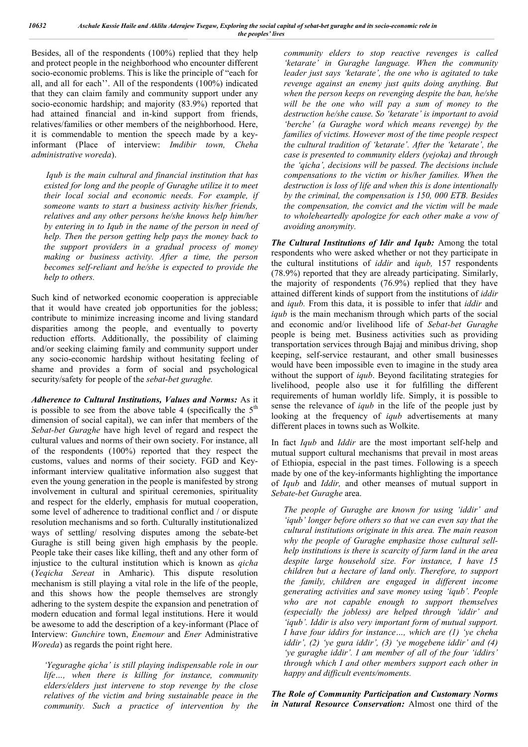Besides, all of the respondents (100%) replied that they help and protect people in the neighborhood who encounter different socio-economic problems. This is like the principle of "each for all, and all for each''. All of the respondents (100%) indicated that they can claim family and community support under any socio-economic hardship; and majority (83.9%) reported that had attained financial and in-kind support from friends, relatives/families or other members of the neighborhood. Here, it is commendable to mention the speech made by a keyinformant (Place of interview: *Imdibir town, Cheha administrative woreda*).

*Iqub is the main cultural and financial institution that has existed for long and the people of Guraghe utilize it to meet their local social and economic needs. For example, if someone wants to start a business activity his/her friends, relatives and any other persons he/she knows help him/her by entering in to Iqub in the name of the person in need of help. Then the person getting help pays the money back to the support providers in a gradual process of money making or business activity. After a time, the person becomes self-reliant and he/she is expected to provide the help to others.* 

Such kind of networked economic cooperation is appreciable that it would have created job opportunities for the jobless; contribute to minimize increasing income and living standard disparities among the people, and eventually to poverty reduction efforts. Additionally, the possibility of claiming and/or seeking claiming family and community support under any socio-economic hardship without hesitating feeling of shame and provides a form of social and psychological security/safety for people of the *sebat-bet guraghe.*

*Adherence to Cultural Institutions, Values and Norms:* As it is possible to see from the above table 4 (specifically the  $5<sup>th</sup>$ dimension of social capital), we can infer that members of the *Sebat-bet Guraghe* have high level of regard and respect the cultural values and norms of their own society. For instance, all of the respondents (100%) reported that they respect the customs, values and norms of their society. FGD and Keyinformant interview qualitative information also suggest that even the young generation in the people is manifested by strong involvement in cultural and spiritual ceremonies, spirituality and respect for the elderly, emphasis for mutual cooperation, some level of adherence to traditional conflict and / or dispute resolution mechanisms and so forth. Culturally institutionalized ways of settling/ resolving disputes among the sebate-bet Guraghe is still being given high emphasis by the people. People take their cases like killing, theft and any other form of injustice to the cultural institution which is known as *qicha*  (*Yeqicha Sereat* in Amharic). This dispute resolution mechanism is still playing a vital role in the life of the people, and this shows how the people themselves are strongly adhering to the system despite the expansion and penetration of modern education and formal legal institutions. Here it would be awesome to add the description of a key-informant (Place of Interview: *Gunchire* town, *Enemour* and *Ener* Administrative *Woreda*) as regards the point right here.

*'Yeguraghe qicha' is still playing indispensable role in our life…, when there is killing for instance, community elders/elders just intervene to stop revenge by the close relatives of the victim and bring sustainable peace in the community. Such a practice of intervention by the* 

*community elders to stop reactive revenges is called 'ketarate' in Guraghe language. When the community leader just says 'ketarate', the one who is agitated to take revenge against an enemy just quits doing anything. But when the person keeps on revenging despite the ban, he/she will be the one who will pay a sum of money to the destruction he/she cause. So 'ketarate' is important to avoid 'berche' (a Guraghe word which means revenge) by the families of victims. However most of the time people respect the cultural tradition of 'ketarate'. After the 'ketarate', the case is presented to community elders (yejoka) and through the 'qicha', decisions will be passed. The decisions include compensations to the victim or his/her families. When the destruction is loss of life and when this is done intentionally by the criminal, the compensation is 150, 000 ETB. Besides the compensation, the convict and the victim will be made to wholeheartedly apologize for each other make a vow of avoiding anonymity.*

*The Cultural Institutions of Idir and Iqub:* Among the total respondents who were asked whether or not they participate in the cultural institutions of *iddir* and *iqub,* 157 respondents (78.9%) reported that they are already participating. Similarly, the majority of respondents (76.9%) replied that they have attained different kinds of support from the institutions of *iddir* and *iqub.* From this data, it is possible to infer that *iddir* and *iqub* is the main mechanism through which parts of the social and economic and/or livelihood life of *Sebat-bet Guraghe* people is being met. Business activities such as providing transportation services through Bajaj and minibus driving, shop keeping, self-service restaurant, and other small businesses would have been impossible even to imagine in the study area without the support of *iqub*. Beyond facilitating strategies for livelihood, people also use it for fulfilling the different requirements of human worldly life. Simply, it is possible to sense the relevance of *iqub* in the life of the people just by looking at the frequency of *iqub* advertisements at many different places in towns such as Wolkite.

In fact *Iqub* and *Iddir* are the most important self-help and mutual support cultural mechanisms that prevail in most areas of Ethiopia, especial in the past times. Following is a speech made by one of the key-informants highlighting the importance of *Iqub* and *Iddir,* and other meanses of mutual support in *Sebate-bet Guraghe* area.

*The people of Guraghe are known for using 'iddir' and 'iqub' longer before others so that we can even say that the cultural institutions originate in this area. The main reason why the people of Guraghe emphasize those cultural sellhelp institutions is there is scarcity of farm land in the area despite large household size. For instance, I have 15 children but a hectare of land only. Therefore, to support the family, children are engaged in different income generating activities and save money using 'iqub'. People who are not capable enough to support themselves (especially the jobless) are helped through 'iddir' and 'iqub'. Iddir is also very important form of mutual support. I have four iddirs for instance…, which are (1) 'ye cheha iddir', (2) 'ye gura iddir', (3) 'ye mogebene iddir' and (4) 'ye guraghe iddir'. I am member of all of the four 'iddirs' through which I and other members support each other in happy and difficult events/moments.*

*The Role of Community Participation and Customary Norms in Natural Resource Conservation:* Almost one third of the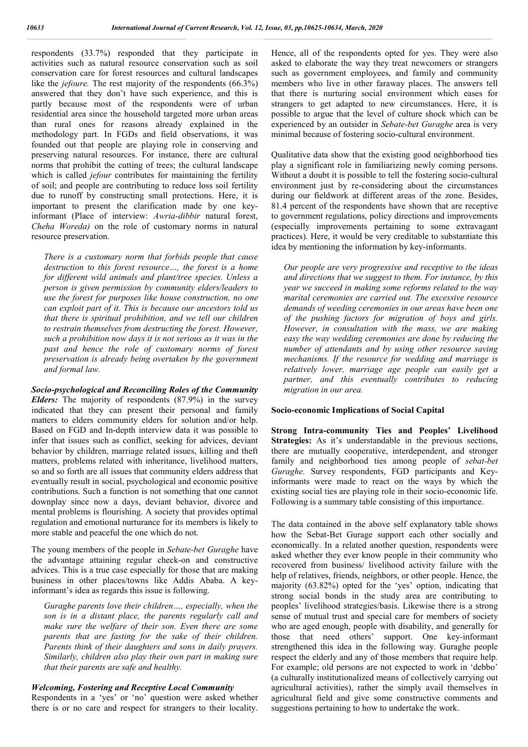respondents (33.7%) responded that they participate in activities such as natural resource conservation such as soil conservation care for forest resources and cultural landscapes like the *jefoure*. The rest majority of the respondents (66.3%) answered that they don't have such experience, and this is partly because most of the respondents were of urban residential area since the household targeted more urban areas than rural ones for reasons already explained in the methodology part. In FGDs and field observations, it was founded out that people are playing role in conserving and preserving natural resources. For instance, there are cultural norms that prohibit the cutting of trees; the cultural landscape which is called *jefour* contributes for maintaining the fertility of soil; and people are contributing to reduce loss soil fertility due to runoff by constructing small protections. Here, it is important to present the clarification made by one keyinformant (Place of interview: *Awria-dibbir* natural forest, *Cheha Woreda)* on the role of customary norms in natural resource preservation.

*There is a customary norm that forbids people that cause destruction to this forest resource…, the forest is a home for different wild animals and plant/tree species. Unless a person is given permission by community elders/leaders to use the forest for purposes like house construction, no one can exploit part of it. This is because our ancestors told us that there is spiritual prohibition, and we tell our children to restrain themselves from destructing the forest. However, such a prohibition now days it is not serious as it was in the past and hence the role of customary norms of forest preservation is already being overtaken by the government and formal law.*

*Socio-psychological and Reconciling Roles of the Community Elders:* The majority of respondents (87.9%) in the survey indicated that they can present their personal and family matters to elders community elders for solution and/or help. Based on FGD and In-depth interview data it was possible to infer that issues such as conflict, seeking for advices, deviant behavior by children, marriage related issues, killing and theft matters, problems related with inheritance, livelihood matters, so and so forth are all issues that community elders address that eventually result in social, psychological and economic positive contributions. Such a function is not something that one cannot downplay since now a days, deviant behavior, divorce and mental problems is flourishing. A society that provides optimal regulation and emotional nurturance for its members is likely to more stable and peaceful the one which do not.

The young members of the people in *Sebate-bet Guraghe* have the advantage attaining regular check-on and constructive advices. This is a true case especially for those that are making business in other places/towns like Addis Ababa. A keyinformant's idea as regards this issue is following.

*Guraghe parents love their children…, especially, when the son is in a distant place, the parents regularly call and make sure the welfare of their son. Even there are some parents that are fasting for the sake of their children. Parents think of their daughters and sons in daily prayers. Similarly, children also play their own part in making sure that their parents are safe and healthy.*

### *Welcoming, Fostering and Receptive Local Community*

Respondents in a 'yes' or 'no' question were asked whether there is or no care and respect for strangers to their locality.

Hence, all of the respondents opted for yes. They were also asked to elaborate the way they treat newcomers or strangers such as government employees, and family and community members who live in other faraway places. The answers tell that there is nurturing social environment which eases for strangers to get adapted to new circumstances. Here, it is possible to argue that the level of culture shock which can be experienced by an outsider in *Sebate-bet Guraghe* area is very minimal because of fostering socio-cultural environment.

Qualitative data show that the existing good neighborhood ties play a significant role in familiarizing newly coming persons. Without a doubt it is possible to tell the fostering socio-cultural environment just by re-considering about the circumstances during our fieldwork at different areas of the zone. Besides, 81.4 percent of the respondents have shown that are receptive to government regulations, policy directions and improvements (especially improvements pertaining to some extravagant practices). Here, it would be very creditable to substantiate this idea by mentioning the information by key-informants.

*Our people are very progressive and receptive to the ideas and directions that we suggest to them. For instance, by this year we succeed in making some reforms related to the way marital ceremonies are carried out. The excessive resource demands of weeding ceremonies in our areas have been one of the pushing factors for migration of boys and girls. However, in consultation with the mass, we are making easy the way wedding ceremonies are done by reducing the number of attendants and by using other resource saving mechanisms. If the resource for wedding and marriage is relatively lower, marriage age people can easily get a partner, and this eventually contributes to reducing migration in our area.*

#### **Socio-economic Implications of Social Capital**

**Strong Intra-community Ties and Peoples' Livelihood Strategies:** As it's understandable in the previous sections, there are mutually cooperative, interdependent, and stronger family and neighborhood ties among people of *sebat-bet Guraghe.* Survey respondents, FGD participants and Keyinformants were made to react on the ways by which the existing social ties are playing role in their socio-economic life. Following is a summary table consisting of this importance.

The data contained in the above self explanatory table shows how the Sebat-Bet Gurage support each other socially and economically. In a related another question, respondents were asked whether they ever know people in their community who recovered from business/ livelihood activity failure with the help of relatives, friends, neighbors, or other people. Hence, the majority (63.82%) opted for the 'yes' option, indicating that strong social bonds in the study area are contributing to peoples' livelihood strategies/basis. Likewise there is a strong sense of mutual trust and special care for members of society who are aged enough, people with disability, and generally for those that need others' support. One key-informant strengthened this idea in the following way. Guraghe people respect the elderly and any of those members that require help. For example; old persons are not expected to work in 'debbo' (a culturally institutionalized means of collectively carrying out agricultural activities), rather the simply avail themselves in agricultural field and give some constructive comments and suggestions pertaining to how to undertake the work.